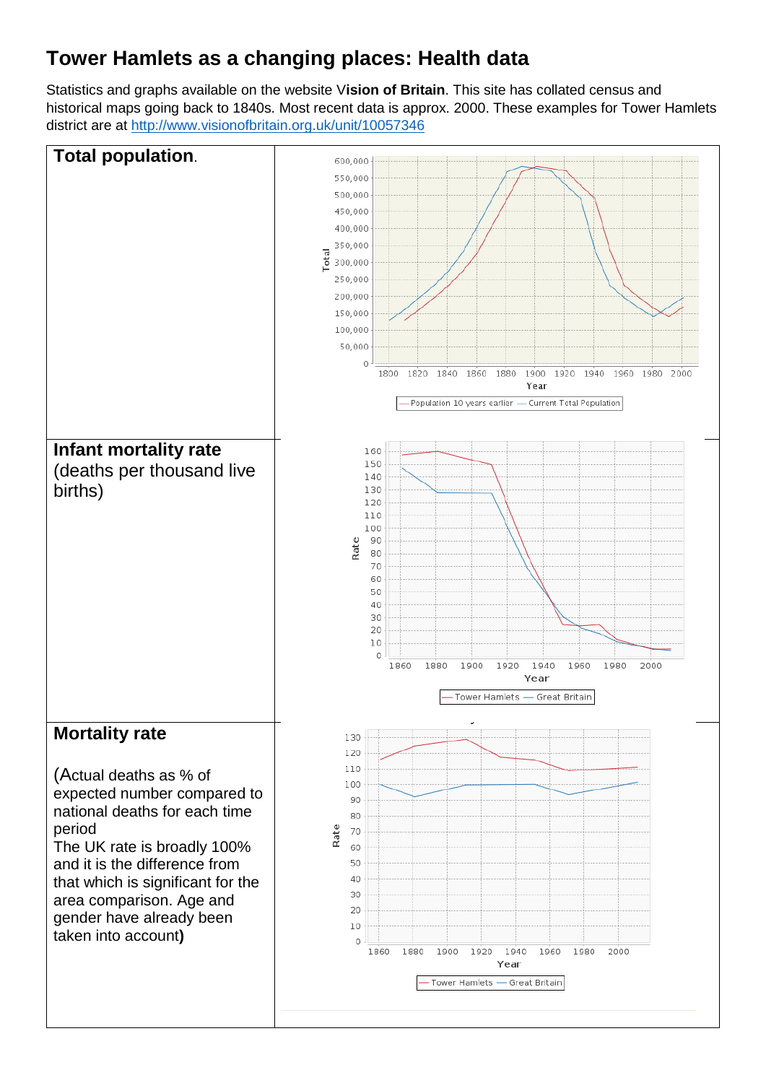## **Tower Hamlets as a changing places: Health data**

Statistics and graphs available on the website V**ision of Britain**. This site has collated census and historical maps going back to 1840s. Most recent data is approx. 2000. These examples for Tower Hamlets district are at<http://www.visionofbritain.org.uk/unit/10057346>

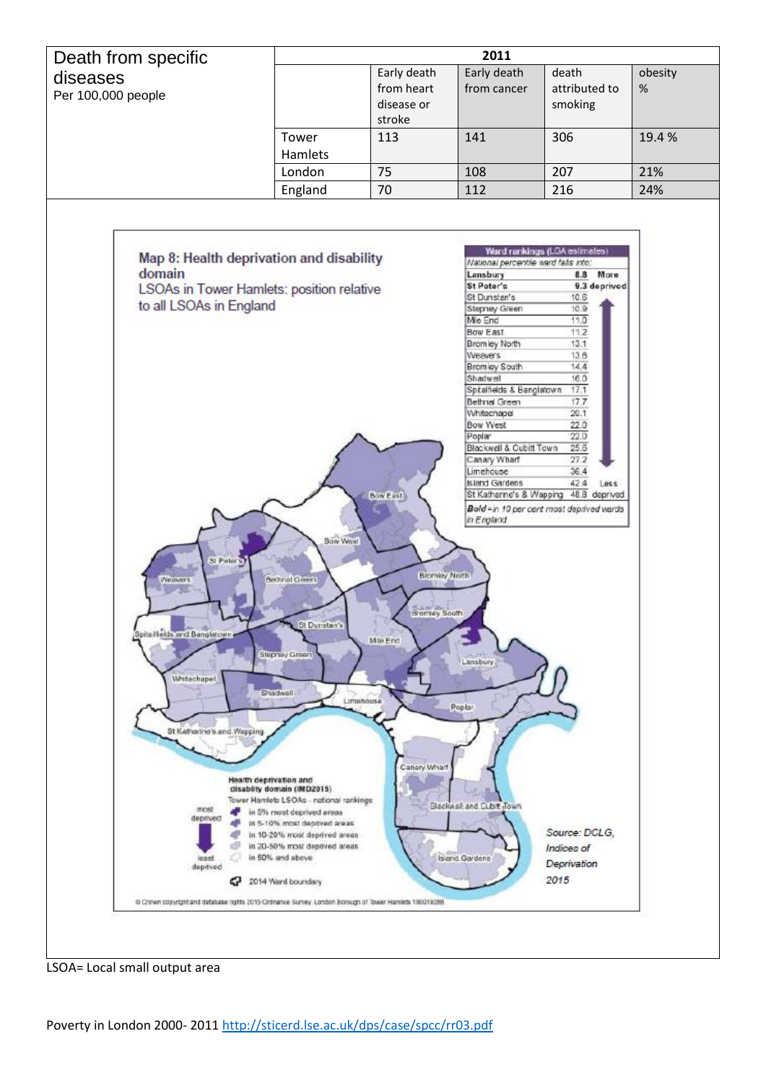

LSOA= Local small output area